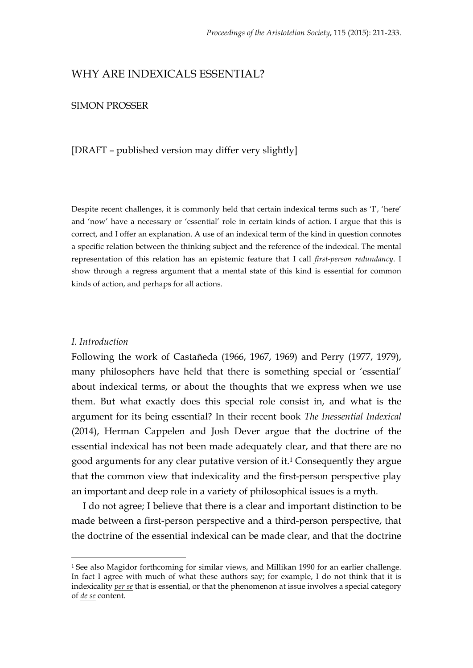# WHY ARE INDEXICALS ESSENTIAL?

# SIMON PROSSER

# [DRAFT – published version may differ very slightly]

Despite recent challenges, it is commonly held that certain indexical terms such as 'I', 'here' and 'now' have a necessary or 'essential' role in certain kinds of action. I argue that this is correct, and I offer an explanation. A use of an indexical term of the kind in question connotes a specific relation between the thinking subject and the reference of the indexical. The mental representation of this relation has an epistemic feature that I call *first-person redundancy*. I show through a regress argument that a mental state of this kind is essential for common kinds of action, and perhaps for all actions.

#### *I. Introduction*

Following the work of Castañeda (1966, 1967, 1969) and Perry (1977, 1979), many philosophers have held that there is something special or 'essential' about indexical terms, or about the thoughts that we express when we use them. But what exactly does this special role consist in, and what is the argument for its being essential? In their recent book *The Inessential Indexical* (2014), Herman Cappelen and Josh Dever argue that the doctrine of the essential indexical has not been made adequately clear, and that there are no good arguments for any clear putative version of it.1 Consequently they argue that the common view that indexicality and the first-person perspective play an important and deep role in a variety of philosophical issues is a myth.

I do not agree; I believe that there is a clear and important distinction to be made between a first-person perspective and a third-person perspective, that the doctrine of the essential indexical can be made clear, and that the doctrine

 <sup>1</sup> See also Magidor forthcoming for similar views, and Millikan 1990 for an earlier challenge. In fact I agree with much of what these authors say; for example, I do not think that it is indexicality *per se* that is essential, or that the phenomenon at issue involves a special category of *de se* content.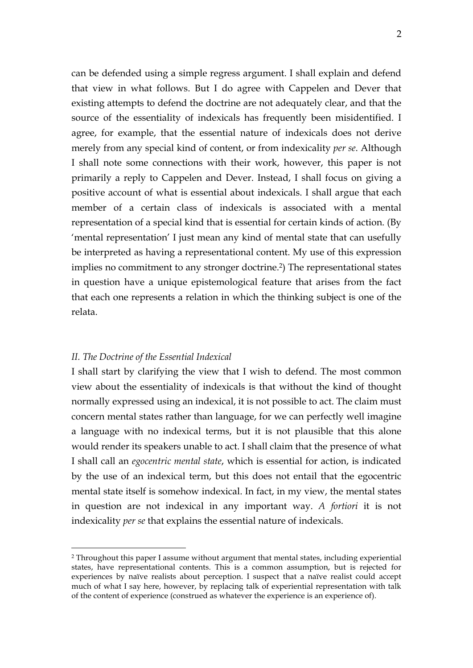can be defended using a simple regress argument. I shall explain and defend that view in what follows. But I do agree with Cappelen and Dever that existing attempts to defend the doctrine are not adequately clear, and that the source of the essentiality of indexicals has frequently been misidentified. I agree, for example, that the essential nature of indexicals does not derive merely from any special kind of content, or from indexicality *per se*. Although I shall note some connections with their work, however, this paper is not primarily a reply to Cappelen and Dever. Instead, I shall focus on giving a positive account of what is essential about indexicals. I shall argue that each member of a certain class of indexicals is associated with a mental representation of a special kind that is essential for certain kinds of action. (By 'mental representation' I just mean any kind of mental state that can usefully be interpreted as having a representational content. My use of this expression implies no commitment to any stronger doctrine. 2) The representational states in question have a unique epistemological feature that arises from the fact that each one represents a relation in which the thinking subject is one of the relata.

# *II. The Doctrine of the Essential Indexical*

I shall start by clarifying the view that I wish to defend. The most common view about the essentiality of indexicals is that without the kind of thought normally expressed using an indexical, it is not possible to act. The claim must concern mental states rather than language, for we can perfectly well imagine a language with no indexical terms, but it is not plausible that this alone would render its speakers unable to act. I shall claim that the presence of what I shall call an *egocentric mental state*, which is essential for action, is indicated by the use of an indexical term, but this does not entail that the egocentric mental state itself is somehow indexical. In fact, in my view, the mental states in question are not indexical in any important way. *A fortiori* it is not indexicality *per se* that explains the essential nature of indexicals.

 <sup>2</sup> Throughout this paper I assume without argument that mental states, including experiential states, have representational contents. This is a common assumption, but is rejected for experiences by naïve realists about perception. I suspect that a naïve realist could accept much of what I say here, however, by replacing talk of experiential representation with talk of the content of experience (construed as whatever the experience is an experience of).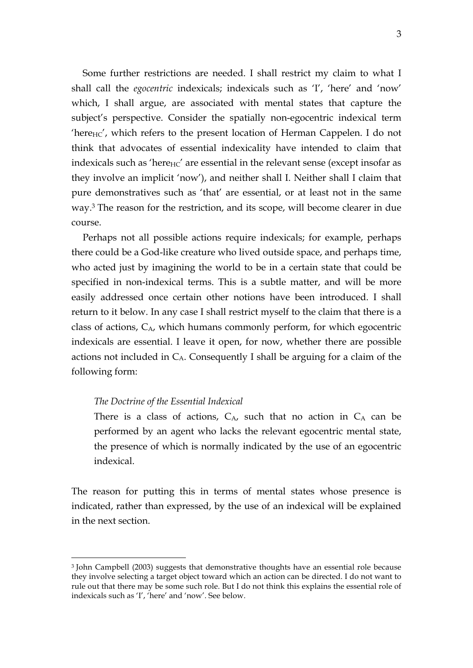Some further restrictions are needed. I shall restrict my claim to what I shall call the *egocentric* indexicals; indexicals such as 'I', 'here' and 'now' which, I shall argue, are associated with mental states that capture the subject's perspective. Consider the spatially non-egocentric indexical term 'here $HC'$ , which refers to the present location of Herman Cappelen. I do not think that advocates of essential indexicality have intended to claim that indexicals such as 'here $_{\text{HC}}'$  are essential in the relevant sense (except insofar as they involve an implicit 'now'), and neither shall I. Neither shall I claim that pure demonstratives such as 'that' are essential, or at least not in the same way. <sup>3</sup> The reason for the restriction, and its scope, will become clearer in due course.

Perhaps not all possible actions require indexicals; for example, perhaps there could be a God-like creature who lived outside space, and perhaps time, who acted just by imagining the world to be in a certain state that could be specified in non-indexical terms. This is a subtle matter, and will be more easily addressed once certain other notions have been introduced. I shall return to it below. In any case I shall restrict myself to the claim that there is a class of actions,  $C_{A}$ , which humans commonly perform, for which egocentric indexicals are essential. I leave it open, for now, whether there are possible actions not included in  $C_A$ . Consequently I shall be arguing for a claim of the following form:

# *The Doctrine of the Essential Indexical*

There is a class of actions,  $C_A$ , such that no action in  $C_A$  can be performed by an agent who lacks the relevant egocentric mental state, the presence of which is normally indicated by the use of an egocentric indexical.

The reason for putting this in terms of mental states whose presence is indicated, rather than expressed, by the use of an indexical will be explained in the next section.

 <sup>3</sup> John Campbell (2003) suggests that demonstrative thoughts have an essential role because they involve selecting a target object toward which an action can be directed. I do not want to rule out that there may be some such role. But I do not think this explains the essential role of indexicals such as 'I', 'here' and 'now'. See below.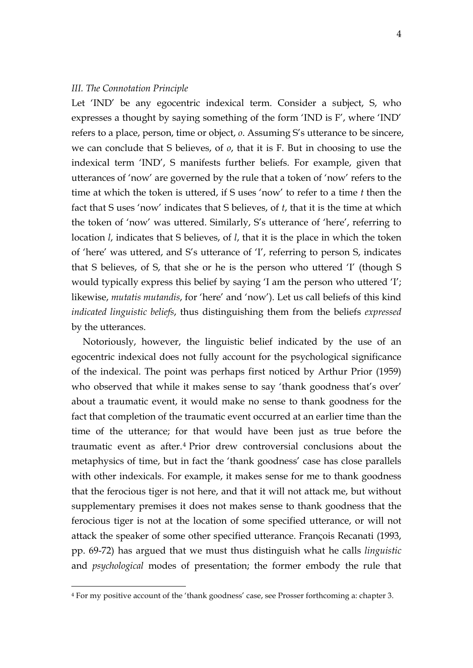#### *III. The Connotation Principle*

Let 'IND' be any egocentric indexical term. Consider a subject, S, who expresses a thought by saying something of the form 'IND is F', where 'IND' refers to a place, person, time or object, *o*. Assuming S's utterance to be sincere, we can conclude that S believes, of *o*, that it is F. But in choosing to use the indexical term 'IND', S manifests further beliefs. For example, given that utterances of 'now' are governed by the rule that a token of 'now' refers to the time at which the token is uttered, if S uses 'now' to refer to a time *t* then the fact that S uses 'now' indicates that S believes, of *t*, that it is the time at which the token of 'now' was uttered. Similarly, S's utterance of 'here', referring to location *l*, indicates that S believes, of *l*, that it is the place in which the token of 'here' was uttered, and S's utterance of 'I', referring to person S, indicates that S believes, of S, that she or he is the person who uttered 'I' (though S would typically express this belief by saying 'I am the person who uttered 'I'; likewise, *mutatis mutandis*, for 'here' and 'now'). Let us call beliefs of this kind *indicated linguistic beliefs*, thus distinguishing them from the beliefs *expressed* by the utterances.

Notoriously, however, the linguistic belief indicated by the use of an egocentric indexical does not fully account for the psychological significance of the indexical. The point was perhaps first noticed by Arthur Prior (1959) who observed that while it makes sense to say 'thank goodness that's over' about a traumatic event, it would make no sense to thank goodness for the fact that completion of the traumatic event occurred at an earlier time than the time of the utterance; for that would have been just as true before the traumatic event as after.4 Prior drew controversial conclusions about the metaphysics of time, but in fact the 'thank goodness' case has close parallels with other indexicals. For example, it makes sense for me to thank goodness that the ferocious tiger is not here, and that it will not attack me, but without supplementary premises it does not makes sense to thank goodness that the ferocious tiger is not at the location of some specified utterance, or will not attack the speaker of some other specified utterance. François Recanati (1993, pp. 69-72) has argued that we must thus distinguish what he calls *linguistic* and *psychological* modes of presentation; the former embody the rule that

 <sup>4</sup> For my positive account of the 'thank goodness' case, see Prosser forthcoming a: chapter 3.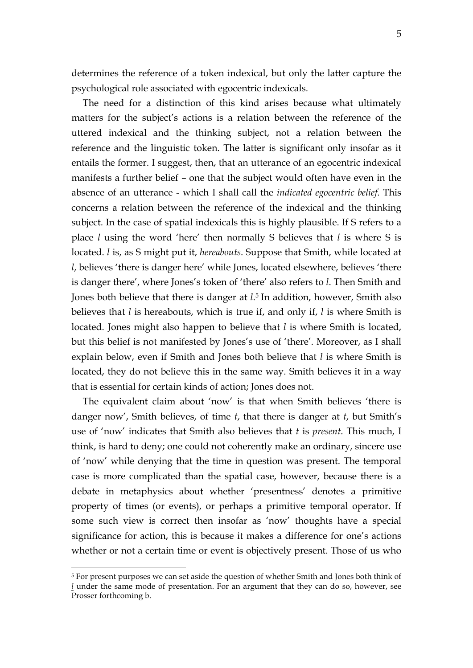determines the reference of a token indexical, but only the latter capture the psychological role associated with egocentric indexicals.

The need for a distinction of this kind arises because what ultimately matters for the subject's actions is a relation between the reference of the uttered indexical and the thinking subject, not a relation between the reference and the linguistic token. The latter is significant only insofar as it entails the former. I suggest, then, that an utterance of an egocentric indexical manifests a further belief – one that the subject would often have even in the absence of an utterance - which I shall call the *indicated egocentric belief*. This concerns a relation between the reference of the indexical and the thinking subject. In the case of spatial indexicals this is highly plausible. If S refers to a place *l* using the word 'here' then normally S believes that *l* is where S is located. *l* is, as S might put it, *hereabouts*. Suppose that Smith, while located at *l*, believes 'there is danger here' while Jones, located elsewhere, believes 'there is danger there', where Jones's token of 'there' also refers to *l*. Then Smith and Jones both believe that there is danger at *l*. <sup>5</sup> In addition, however, Smith also believes that *l* is hereabouts, which is true if, and only if, *l* is where Smith is located. Jones might also happen to believe that *l* is where Smith is located, but this belief is not manifested by Jones's use of 'there'. Moreover, as I shall explain below, even if Smith and Jones both believe that *l* is where Smith is located, they do not believe this in the same way. Smith believes it in a way that is essential for certain kinds of action; Jones does not.

The equivalent claim about 'now' is that when Smith believes 'there is danger now', Smith believes, of time *t*, that there is danger at *t*, but Smith's use of 'now' indicates that Smith also believes that *t* is *present*. This much, I think, is hard to deny; one could not coherently make an ordinary, sincere use of 'now' while denying that the time in question was present. The temporal case is more complicated than the spatial case, however, because there is a debate in metaphysics about whether 'presentness' denotes a primitive property of times (or events), or perhaps a primitive temporal operator. If some such view is correct then insofar as 'now' thoughts have a special significance for action, this is because it makes a difference for one's actions whether or not a certain time or event is objectively present. Those of us who

<sup>&</sup>lt;sup>5</sup> For present purposes we can set aside the question of whether Smith and Jones both think of *l* under the same mode of presentation. For an argument that they can do so, however, see Prosser forthcoming b.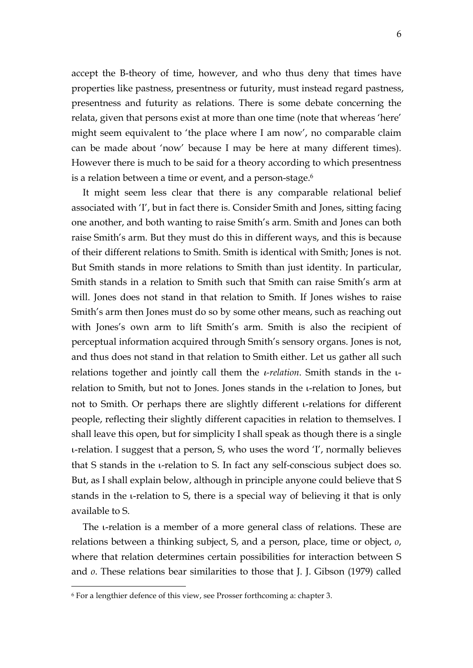accept the B-theory of time, however, and who thus deny that times have properties like pastness, presentness or futurity, must instead regard pastness, presentness and futurity as relations. There is some debate concerning the relata, given that persons exist at more than one time (note that whereas 'here' might seem equivalent to 'the place where I am now', no comparable claim can be made about 'now' because I may be here at many different times). However there is much to be said for a theory according to which presentness is a relation between a time or event, and a person-stage.<sup>6</sup>

It might seem less clear that there is any comparable relational belief associated with 'I', but in fact there is. Consider Smith and Jones, sitting facing one another, and both wanting to raise Smith's arm. Smith and Jones can both raise Smith's arm. But they must do this in different ways, and this is because of their different relations to Smith. Smith is identical with Smith; Jones is not. But Smith stands in more relations to Smith than just identity. In particular, Smith stands in a relation to Smith such that Smith can raise Smith's arm at will. Jones does not stand in that relation to Smith. If Jones wishes to raise Smith's arm then Jones must do so by some other means, such as reaching out with Jones's own arm to lift Smith's arm. Smith is also the recipient of perceptual information acquired through Smith's sensory organs. Jones is not, and thus does not stand in that relation to Smith either. Let us gather all such relations together and jointly call them the ι*-relation*. Smith stands in the ιrelation to Smith, but not to Jones. Jones stands in the ι-relation to Jones, but not to Smith. Or perhaps there are slightly different ι-relations for different people, reflecting their slightly different capacities in relation to themselves. I shall leave this open, but for simplicity I shall speak as though there is a single ι-relation. I suggest that a person, S, who uses the word 'I', normally believes that S stands in the ι-relation to S. In fact any self-conscious subject does so. But, as I shall explain below, although in principle anyone could believe that S stands in the ι-relation to S, there is a special way of believing it that is only available to S.

The ι-relation is a member of a more general class of relations. These are relations between a thinking subject, S, and a person, place, time or object, *o*, where that relation determines certain possibilities for interaction between S and *o*. These relations bear similarities to those that J. J. Gibson (1979) called

 <sup>6</sup> For a lengthier defence of this view, see Prosser forthcoming a: chapter 3.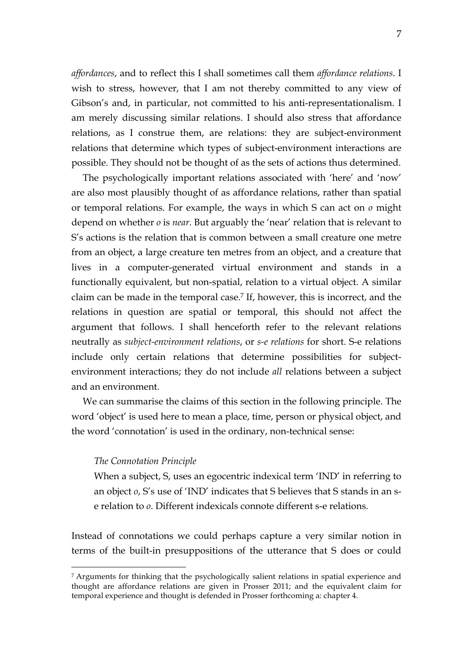*affordances*, and to reflect this I shall sometimes call them *affordance relations*. I wish to stress, however, that I am not thereby committed to any view of Gibson's and, in particular, not committed to his anti-representationalism. I am merely discussing similar relations. I should also stress that affordance relations, as I construe them, are relations: they are subject-environment relations that determine which types of subject-environment interactions are possible. They should not be thought of as the sets of actions thus determined.

The psychologically important relations associated with 'here' and 'now' are also most plausibly thought of as affordance relations, rather than spatial or temporal relations. For example, the ways in which S can act on *o* might depend on whether *o* is *near*. But arguably the 'near' relation that is relevant to S's actions is the relation that is common between a small creature one metre from an object, a large creature ten metres from an object, and a creature that lives in a computer-generated virtual environment and stands in a functionally equivalent, but non-spatial, relation to a virtual object. A similar claim can be made in the temporal case.7 If, however, this is incorrect, and the relations in question are spatial or temporal, this should not affect the argument that follows. I shall henceforth refer to the relevant relations neutrally as *subject-environment relations*, or *s-e relations* for short. S-e relations include only certain relations that determine possibilities for subjectenvironment interactions; they do not include *all* relations between a subject and an environment.

We can summarise the claims of this section in the following principle. The word 'object' is used here to mean a place, time, person or physical object, and the word 'connotation' is used in the ordinary, non-technical sense:

# *The Connotation Principle*

When a subject, S, uses an egocentric indexical term 'IND' in referring to an object *o*, S's use of 'IND' indicates that S believes that S stands in an se relation to *o*. Different indexicals connote different s-e relations.

Instead of connotations we could perhaps capture a very similar notion in terms of the built-in presuppositions of the utterance that S does or could

 <sup>7</sup> Arguments for thinking that the psychologically salient relations in spatial experience and thought are affordance relations are given in Prosser 2011; and the equivalent claim for temporal experience and thought is defended in Prosser forthcoming a: chapter 4.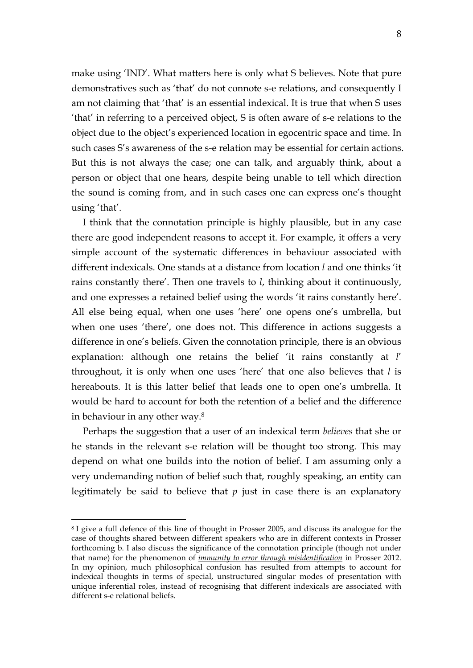make using 'IND'. What matters here is only what S believes. Note that pure demonstratives such as 'that' do not connote s-e relations, and consequently I am not claiming that 'that' is an essential indexical. It is true that when S uses 'that' in referring to a perceived object, S is often aware of s-e relations to the object due to the object's experienced location in egocentric space and time. In such cases S's awareness of the s-e relation may be essential for certain actions. But this is not always the case; one can talk, and arguably think, about a person or object that one hears, despite being unable to tell which direction the sound is coming from, and in such cases one can express one's thought using 'that'.

I think that the connotation principle is highly plausible, but in any case there are good independent reasons to accept it. For example, it offers a very simple account of the systematic differences in behaviour associated with different indexicals. One stands at a distance from location *l* and one thinks 'it rains constantly there'. Then one travels to *l*, thinking about it continuously, and one expresses a retained belief using the words 'it rains constantly here'. All else being equal, when one uses 'here' one opens one's umbrella, but when one uses 'there', one does not. This difference in actions suggests a difference in one's beliefs. Given the connotation principle, there is an obvious explanation: although one retains the belief 'it rains constantly at *l*' throughout, it is only when one uses 'here' that one also believes that *l* is hereabouts. It is this latter belief that leads one to open one's umbrella. It would be hard to account for both the retention of a belief and the difference in behaviour in any other way.8

Perhaps the suggestion that a user of an indexical term *believes* that she or he stands in the relevant s-e relation will be thought too strong. This may depend on what one builds into the notion of belief. I am assuming only a very undemanding notion of belief such that, roughly speaking, an entity can legitimately be said to believe that *p* just in case there is an explanatory

 <sup>8</sup> I give a full defence of this line of thought in Prosser 2005, and discuss its analogue for the case of thoughts shared between different speakers who are in different contexts in Prosser forthcoming b. I also discuss the significance of the connotation principle (though not under that name) for the phenomenon of *immunity to error through misidentification* in Prosser 2012. In my opinion, much philosophical confusion has resulted from attempts to account for indexical thoughts in terms of special, unstructured singular modes of presentation with unique inferential roles, instead of recognising that different indexicals are associated with different s-e relational beliefs.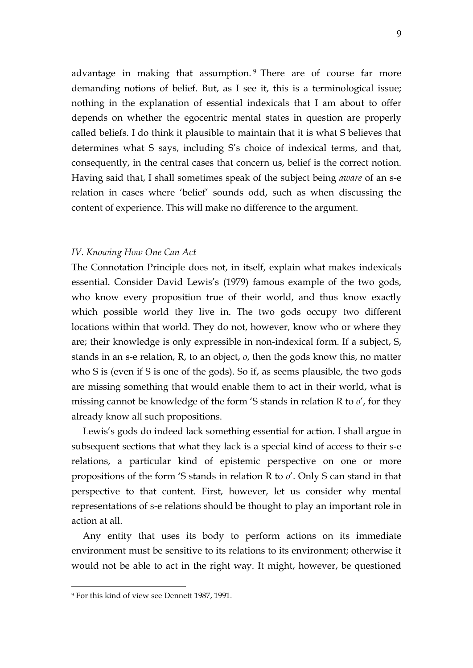advantage in making that assumption.<sup>9</sup> There are of course far more demanding notions of belief. But, as I see it, this is a terminological issue; nothing in the explanation of essential indexicals that I am about to offer depends on whether the egocentric mental states in question are properly called beliefs. I do think it plausible to maintain that it is what S believes that determines what S says, including S's choice of indexical terms, and that, consequently, in the central cases that concern us, belief is the correct notion. Having said that, I shall sometimes speak of the subject being *aware* of an s-e relation in cases where 'belief' sounds odd, such as when discussing the content of experience. This will make no difference to the argument.

#### *IV. Knowing How One Can Act*

The Connotation Principle does not, in itself, explain what makes indexicals essential. Consider David Lewis's (1979) famous example of the two gods, who know every proposition true of their world, and thus know exactly which possible world they live in. The two gods occupy two different locations within that world. They do not, however, know who or where they are; their knowledge is only expressible in non-indexical form. If a subject, S, stands in an s-e relation, R, to an object, *o*, then the gods know this, no matter who S is (even if S is one of the gods). So if, as seems plausible, the two gods are missing something that would enable them to act in their world, what is missing cannot be knowledge of the form 'S stands in relation R to *o*', for they already know all such propositions.

Lewis's gods do indeed lack something essential for action. I shall argue in subsequent sections that what they lack is a special kind of access to their s-e relations, a particular kind of epistemic perspective on one or more propositions of the form 'S stands in relation R to *o*'. Only S can stand in that perspective to that content. First, however, let us consider why mental representations of s-e relations should be thought to play an important role in action at all.

Any entity that uses its body to perform actions on its immediate environment must be sensitive to its relations to its environment; otherwise it would not be able to act in the right way. It might, however, be questioned

 <sup>9</sup> For this kind of view see Dennett 1987, 1991.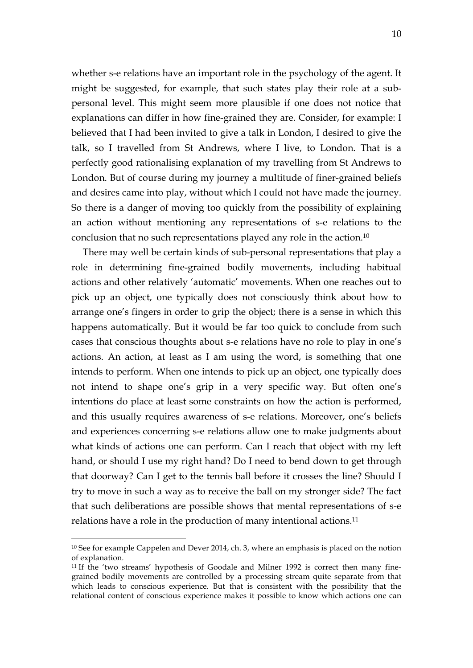whether s-e relations have an important role in the psychology of the agent. It might be suggested, for example, that such states play their role at a subpersonal level. This might seem more plausible if one does not notice that explanations can differ in how fine-grained they are. Consider, for example: I believed that I had been invited to give a talk in London, I desired to give the talk, so I travelled from St Andrews, where I live, to London. That is a perfectly good rationalising explanation of my travelling from St Andrews to London. But of course during my journey a multitude of finer-grained beliefs and desires came into play, without which I could not have made the journey. So there is a danger of moving too quickly from the possibility of explaining an action without mentioning any representations of s-e relations to the conclusion that no such representations played any role in the action.10

There may well be certain kinds of sub-personal representations that play a role in determining fine-grained bodily movements, including habitual actions and other relatively 'automatic' movements. When one reaches out to pick up an object, one typically does not consciously think about how to arrange one's fingers in order to grip the object; there is a sense in which this happens automatically. But it would be far too quick to conclude from such cases that conscious thoughts about s-e relations have no role to play in one's actions. An action, at least as I am using the word, is something that one intends to perform. When one intends to pick up an object, one typically does not intend to shape one's grip in a very specific way. But often one's intentions do place at least some constraints on how the action is performed, and this usually requires awareness of s-e relations. Moreover, one's beliefs and experiences concerning s-e relations allow one to make judgments about what kinds of actions one can perform. Can I reach that object with my left hand, or should I use my right hand? Do I need to bend down to get through that doorway? Can I get to the tennis ball before it crosses the line? Should I try to move in such a way as to receive the ball on my stronger side? The fact that such deliberations are possible shows that mental representations of s-e relations have a role in the production of many intentional actions.11

<sup>&</sup>lt;sup>10</sup> See for example Cappelen and Dever 2014, ch. 3, where an emphasis is placed on the notion of explanation.

<sup>&</sup>lt;sup>11</sup> If the 'two streams' hypothesis of Goodale and Milner 1992 is correct then many finegrained bodily movements are controlled by a processing stream quite separate from that which leads to conscious experience. But that is consistent with the possibility that the relational content of conscious experience makes it possible to know which actions one can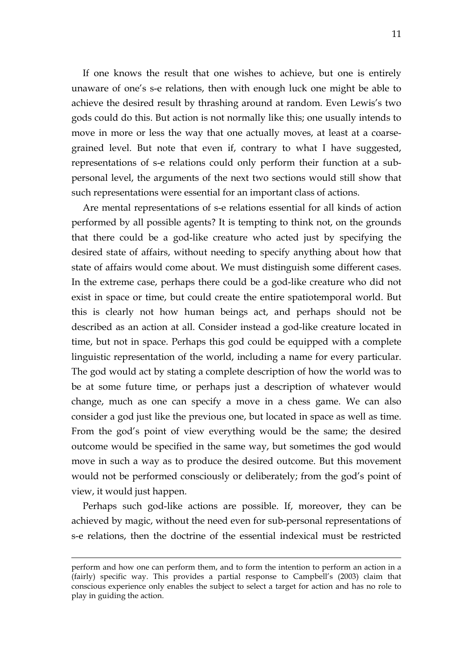If one knows the result that one wishes to achieve, but one is entirely unaware of one's s-e relations, then with enough luck one might be able to achieve the desired result by thrashing around at random. Even Lewis's two gods could do this. But action is not normally like this; one usually intends to move in more or less the way that one actually moves, at least at a coarsegrained level. But note that even if, contrary to what I have suggested, representations of s-e relations could only perform their function at a subpersonal level, the arguments of the next two sections would still show that such representations were essential for an important class of actions.

Are mental representations of s-e relations essential for all kinds of action performed by all possible agents? It is tempting to think not, on the grounds that there could be a god-like creature who acted just by specifying the desired state of affairs, without needing to specify anything about how that state of affairs would come about. We must distinguish some different cases. In the extreme case, perhaps there could be a god-like creature who did not exist in space or time, but could create the entire spatiotemporal world. But this is clearly not how human beings act, and perhaps should not be described as an action at all. Consider instead a god-like creature located in time, but not in space. Perhaps this god could be equipped with a complete linguistic representation of the world, including a name for every particular. The god would act by stating a complete description of how the world was to be at some future time, or perhaps just a description of whatever would change, much as one can specify a move in a chess game. We can also consider a god just like the previous one, but located in space as well as time. From the god's point of view everything would be the same; the desired outcome would be specified in the same way, but sometimes the god would move in such a way as to produce the desired outcome. But this movement would not be performed consciously or deliberately; from the god's point of view, it would just happen.

Perhaps such god-like actions are possible. If, moreover, they can be achieved by magic, without the need even for sub-personal representations of s-e relations, then the doctrine of the essential indexical must be restricted

<u>.</u>

perform and how one can perform them, and to form the intention to perform an action in a (fairly) specific way. This provides a partial response to Campbell's (2003) claim that conscious experience only enables the subject to select a target for action and has no role to play in guiding the action.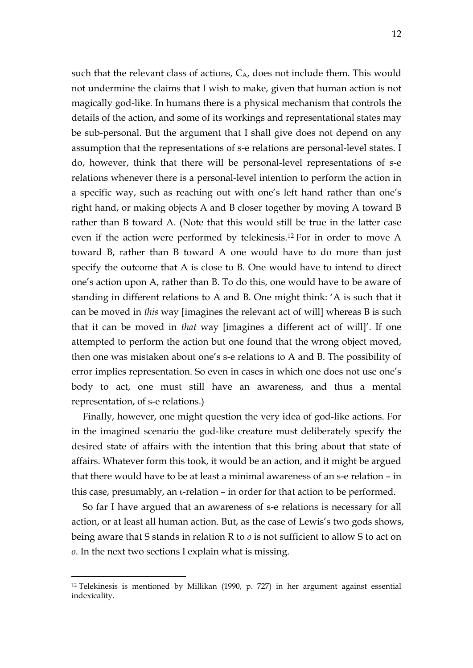such that the relevant class of actions, CA, does not include them. This would not undermine the claims that I wish to make, given that human action is not magically god-like. In humans there is a physical mechanism that controls the details of the action, and some of its workings and representational states may be sub-personal. But the argument that I shall give does not depend on any assumption that the representations of s-e relations are personal-level states. I do, however, think that there will be personal-level representations of s-e relations whenever there is a personal-level intention to perform the action in a specific way, such as reaching out with one's left hand rather than one's right hand, or making objects A and B closer together by moving A toward B rather than B toward A. (Note that this would still be true in the latter case even if the action were performed by telekinesis.12 For in order to move A toward B, rather than B toward A one would have to do more than just specify the outcome that A is close to B. One would have to intend to direct one's action upon A, rather than B. To do this, one would have to be aware of standing in different relations to A and B. One might think: 'A is such that it can be moved in *this* way [imagines the relevant act of will] whereas B is such that it can be moved in *that* way [imagines a different act of will]'. If one attempted to perform the action but one found that the wrong object moved, then one was mistaken about one's s-e relations to A and B. The possibility of error implies representation. So even in cases in which one does not use one's body to act, one must still have an awareness, and thus a mental representation, of s-e relations.)

Finally, however, one might question the very idea of god-like actions. For in the imagined scenario the god-like creature must deliberately specify the desired state of affairs with the intention that this bring about that state of affairs. Whatever form this took, it would be an action, and it might be argued that there would have to be at least a minimal awareness of an s-e relation – in this case, presumably, an ι-relation – in order for that action to be performed.

So far I have argued that an awareness of s-e relations is necessary for all action, or at least all human action. But, as the case of Lewis's two gods shows, being aware that S stands in relation R to *o* is not sufficient to allow S to act on *o*. In the next two sections I explain what is missing.

 <sup>12</sup> Telekinesis is mentioned by Millikan (1990, p. 727) in her argument against essential indexicality.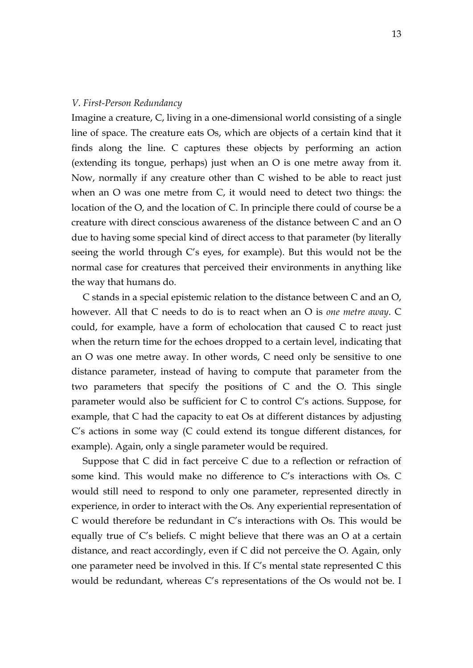#### *V. First-Person Redundancy*

Imagine a creature, C, living in a one-dimensional world consisting of a single line of space. The creature eats Os, which are objects of a certain kind that it finds along the line. C captures these objects by performing an action (extending its tongue, perhaps) just when an O is one metre away from it. Now, normally if any creature other than C wished to be able to react just when an O was one metre from C, it would need to detect two things: the location of the O, and the location of C. In principle there could of course be a creature with direct conscious awareness of the distance between C and an O due to having some special kind of direct access to that parameter (by literally seeing the world through C's eyes, for example). But this would not be the normal case for creatures that perceived their environments in anything like the way that humans do.

C stands in a special epistemic relation to the distance between C and an O, however. All that C needs to do is to react when an O is *one metre away*. C could, for example, have a form of echolocation that caused C to react just when the return time for the echoes dropped to a certain level, indicating that an O was one metre away. In other words, C need only be sensitive to one distance parameter, instead of having to compute that parameter from the two parameters that specify the positions of C and the O. This single parameter would also be sufficient for C to control C's actions. Suppose, for example, that C had the capacity to eat Os at different distances by adjusting C's actions in some way (C could extend its tongue different distances, for example). Again, only a single parameter would be required.

Suppose that C did in fact perceive C due to a reflection or refraction of some kind. This would make no difference to C's interactions with Os. C would still need to respond to only one parameter, represented directly in experience, in order to interact with the Os. Any experiential representation of C would therefore be redundant in C's interactions with Os. This would be equally true of C's beliefs. C might believe that there was an O at a certain distance, and react accordingly, even if C did not perceive the O. Again, only one parameter need be involved in this. If C's mental state represented C this would be redundant, whereas C's representations of the Os would not be. I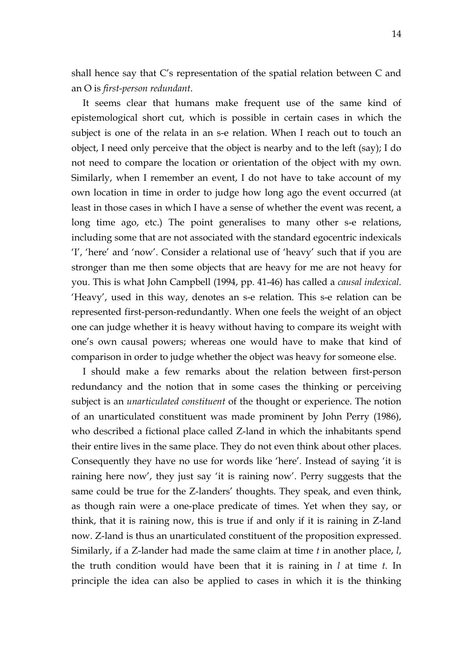shall hence say that C's representation of the spatial relation between C and an O is *first-person redundant*.

It seems clear that humans make frequent use of the same kind of epistemological short cut, which is possible in certain cases in which the subject is one of the relata in an s-e relation. When I reach out to touch an object, I need only perceive that the object is nearby and to the left (say); I do not need to compare the location or orientation of the object with my own. Similarly, when I remember an event, I do not have to take account of my own location in time in order to judge how long ago the event occurred (at least in those cases in which I have a sense of whether the event was recent, a long time ago, etc.) The point generalises to many other s-e relations, including some that are not associated with the standard egocentric indexicals 'I', 'here' and 'now'. Consider a relational use of 'heavy' such that if you are stronger than me then some objects that are heavy for me are not heavy for you. This is what John Campbell (1994, pp. 41-46) has called a *causal indexical*. 'Heavy', used in this way, denotes an s-e relation. This s-e relation can be represented first-person-redundantly. When one feels the weight of an object one can judge whether it is heavy without having to compare its weight with one's own causal powers; whereas one would have to make that kind of comparison in order to judge whether the object was heavy for someone else.

I should make a few remarks about the relation between first-person redundancy and the notion that in some cases the thinking or perceiving subject is an *unarticulated constituent* of the thought or experience. The notion of an unarticulated constituent was made prominent by John Perry (1986), who described a fictional place called Z-land in which the inhabitants spend their entire lives in the same place. They do not even think about other places. Consequently they have no use for words like 'here'. Instead of saying 'it is raining here now', they just say 'it is raining now'. Perry suggests that the same could be true for the Z-landers' thoughts. They speak, and even think, as though rain were a one-place predicate of times. Yet when they say, or think, that it is raining now, this is true if and only if it is raining in Z-land now. Z-land is thus an unarticulated constituent of the proposition expressed. Similarly, if a Z-lander had made the same claim at time *t* in another place, *l*, the truth condition would have been that it is raining in *l* at time *t*. In principle the idea can also be applied to cases in which it is the thinking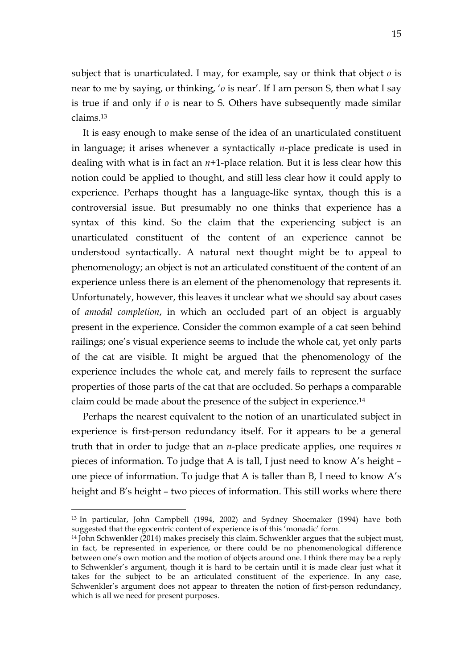subject that is unarticulated. I may, for example, say or think that object *o* is near to me by saying, or thinking, '*o* is near'. If I am person S, then what I say is true if and only if *o* is near to S. Others have subsequently made similar claims.13

It is easy enough to make sense of the idea of an unarticulated constituent in language; it arises whenever a syntactically *n*-place predicate is used in dealing with what is in fact an  $n+1$ -place relation. But it is less clear how this notion could be applied to thought, and still less clear how it could apply to experience. Perhaps thought has a language-like syntax, though this is a controversial issue. But presumably no one thinks that experience has a syntax of this kind. So the claim that the experiencing subject is an unarticulated constituent of the content of an experience cannot be understood syntactically. A natural next thought might be to appeal to phenomenology; an object is not an articulated constituent of the content of an experience unless there is an element of the phenomenology that represents it. Unfortunately, however, this leaves it unclear what we should say about cases of *amodal completion*, in which an occluded part of an object is arguably present in the experience. Consider the common example of a cat seen behind railings; one's visual experience seems to include the whole cat, yet only parts of the cat are visible. It might be argued that the phenomenology of the experience includes the whole cat, and merely fails to represent the surface properties of those parts of the cat that are occluded. So perhaps a comparable claim could be made about the presence of the subject in experience.14

Perhaps the nearest equivalent to the notion of an unarticulated subject in experience is first-person redundancy itself. For it appears to be a general truth that in order to judge that an *n*-place predicate applies, one requires *n* pieces of information. To judge that A is tall, I just need to know A's height – one piece of information. To judge that A is taller than B, I need to know A's height and B's height – two pieces of information. This still works where there

 <sup>13</sup> In particular, John Campbell (1994, 2002) and Sydney Shoemaker (1994) have both suggested that the egocentric content of experience is of this 'monadic' form.

<sup>14</sup> John Schwenkler (2014) makes precisely this claim. Schwenkler argues that the subject must, in fact, be represented in experience, or there could be no phenomenological difference between one's own motion and the motion of objects around one. I think there may be a reply to Schwenkler's argument, though it is hard to be certain until it is made clear just what it takes for the subject to be an articulated constituent of the experience. In any case, Schwenkler's argument does not appear to threaten the notion of first-person redundancy, which is all we need for present purposes.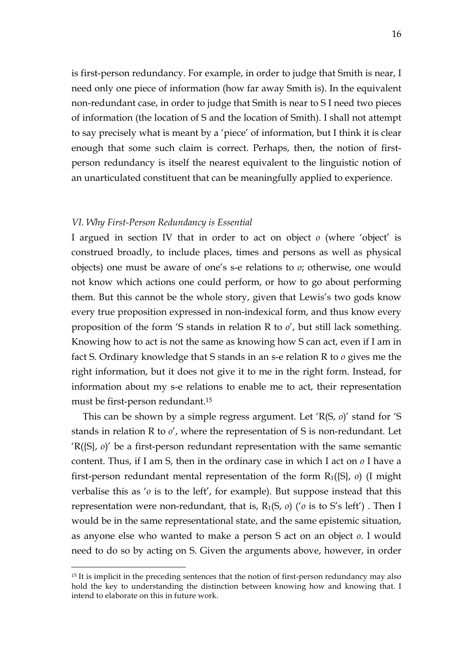is first-person redundancy. For example, in order to judge that Smith is near, I need only one piece of information (how far away Smith is). In the equivalent non-redundant case, in order to judge that Smith is near to S I need two pieces of information (the location of S and the location of Smith). I shall not attempt to say precisely what is meant by a 'piece' of information, but I think it is clear enough that some such claim is correct. Perhaps, then, the notion of firstperson redundancy is itself the nearest equivalent to the linguistic notion of an unarticulated constituent that can be meaningfully applied to experience.

#### *VI. Why First-Person Redundancy is Essential*

I argued in section IV that in order to act on object *o* (where 'object' is construed broadly, to include places, times and persons as well as physical objects) one must be aware of one's s-e relations to *o*; otherwise, one would not know which actions one could perform, or how to go about performing them. But this cannot be the whole story, given that Lewis's two gods know every true proposition expressed in non-indexical form, and thus know every proposition of the form 'S stands in relation R to *o*', but still lack something. Knowing how to act is not the same as knowing how S can act, even if I am in fact S. Ordinary knowledge that S stands in an s-e relation R to *o* gives me the right information, but it does not give it to me in the right form. Instead, for information about my s-e relations to enable me to act, their representation must be first-person redundant. 15

This can be shown by a simple regress argument. Let 'R(S, *o*)' stand for 'S stands in relation R to *o*', where the representation of S is non-redundant. Let 'R({S}, *o*)' be a first-person redundant representation with the same semantic content. Thus, if I am S, then in the ordinary case in which I act on *o* I have a first-person redundant mental representation of the form R1({S}, *o*) (I might verbalise this as '*o* is to the left', for example). But suppose instead that this representation were non-redundant, that is, R1(S, *o*) ('*o* is to S's left') . Then I would be in the same representational state, and the same epistemic situation, as anyone else who wanted to make a person S act on an object *o*. I would need to do so by acting on S. Given the arguments above, however, in order

<sup>&</sup>lt;sup>15</sup> It is implicit in the preceding sentences that the notion of first-person redundancy may also hold the key to understanding the distinction between knowing how and knowing that. I intend to elaborate on this in future work.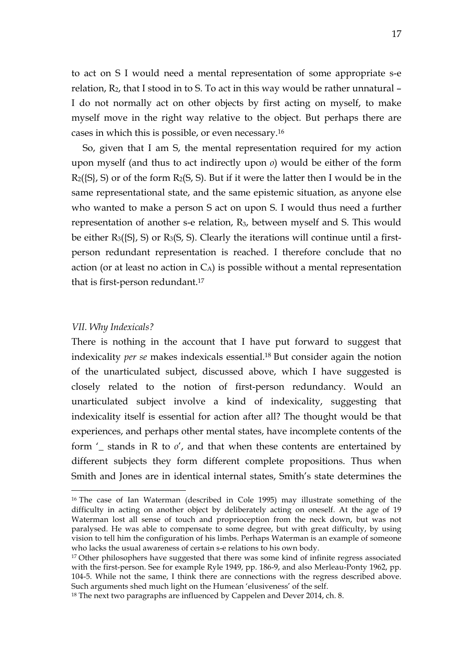to act on S I would need a mental representation of some appropriate s-e relation,  $R_2$ , that I stood in to S. To act in this way would be rather unnatural  $-$ I do not normally act on other objects by first acting on myself, to make myself move in the right way relative to the object. But perhaps there are cases in which this is possible, or even necessary.16

So, given that I am S, the mental representation required for my action upon myself (and thus to act indirectly upon *o*) would be either of the form  $R_2(S_i, S)$  or of the form  $R_2(S, S)$ . But if it were the latter then I would be in the same representational state, and the same epistemic situation, as anyone else who wanted to make a person S act on upon S. I would thus need a further representation of another s-e relation, R3, between myself and S. This would be either  $R_3({S}, S)$  or  $R_3(S, S)$ . Clearly the iterations will continue until a firstperson redundant representation is reached. I therefore conclude that no action (or at least no action in  $C_A$ ) is possible without a mental representation that is first-person redundant.17

#### *VII. Why Indexicals?*

There is nothing in the account that I have put forward to suggest that indexicality *per se* makes indexicals essential.18 But consider again the notion of the unarticulated subject, discussed above, which I have suggested is closely related to the notion of first-person redundancy. Would an unarticulated subject involve a kind of indexicality, suggesting that indexicality itself is essential for action after all? The thought would be that experiences, and perhaps other mental states, have incomplete contents of the form '\_ stands in R to *o*', and that when these contents are entertained by different subjects they form different complete propositions. Thus when Smith and Jones are in identical internal states, Smith's state determines the

 <sup>16</sup> The case of Ian Waterman (described in Cole 1995) may illustrate something of the difficulty in acting on another object by deliberately acting on oneself. At the age of 19 Waterman lost all sense of touch and proprioception from the neck down, but was not paralysed. He was able to compensate to some degree, but with great difficulty, by using vision to tell him the configuration of his limbs. Perhaps Waterman is an example of someone who lacks the usual awareness of certain s-e relations to his own body.

<sup>&</sup>lt;sup>17</sup> Other philosophers have suggested that there was some kind of infinite regress associated with the first-person. See for example Ryle 1949, pp. 186-9, and also Merleau-Ponty 1962, pp. 104-5. While not the same, I think there are connections with the regress described above. Such arguments shed much light on the Humean 'elusiveness' of the self.

<sup>&</sup>lt;sup>18</sup> The next two paragraphs are influenced by Cappelen and Dever 2014, ch. 8.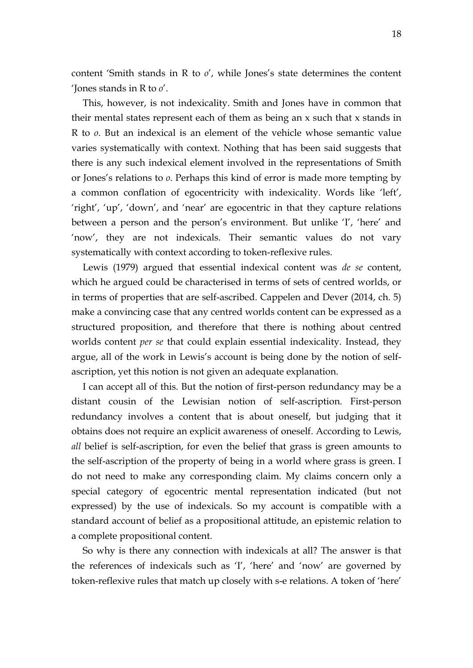content 'Smith stands in R to *o*', while Jones's state determines the content 'Jones stands in R to *o*'.

This, however, is not indexicality. Smith and Jones have in common that their mental states represent each of them as being an x such that x stands in R to *o*. But an indexical is an element of the vehicle whose semantic value varies systematically with context. Nothing that has been said suggests that there is any such indexical element involved in the representations of Smith or Jones's relations to *o*. Perhaps this kind of error is made more tempting by a common conflation of egocentricity with indexicality. Words like 'left', 'right', 'up', 'down', and 'near' are egocentric in that they capture relations between a person and the person's environment. But unlike 'I', 'here' and 'now', they are not indexicals. Their semantic values do not vary systematically with context according to token-reflexive rules.

Lewis (1979) argued that essential indexical content was *de se* content, which he argued could be characterised in terms of sets of centred worlds, or in terms of properties that are self-ascribed. Cappelen and Dever (2014, ch. 5) make a convincing case that any centred worlds content can be expressed as a structured proposition, and therefore that there is nothing about centred worlds content *per se* that could explain essential indexicality. Instead, they argue, all of the work in Lewis's account is being done by the notion of selfascription, yet this notion is not given an adequate explanation.

I can accept all of this. But the notion of first-person redundancy may be a distant cousin of the Lewisian notion of self-ascription. First-person redundancy involves a content that is about oneself, but judging that it obtains does not require an explicit awareness of oneself. According to Lewis, *all* belief is self-ascription, for even the belief that grass is green amounts to the self-ascription of the property of being in a world where grass is green. I do not need to make any corresponding claim. My claims concern only a special category of egocentric mental representation indicated (but not expressed) by the use of indexicals. So my account is compatible with a standard account of belief as a propositional attitude, an epistemic relation to a complete propositional content.

So why is there any connection with indexicals at all? The answer is that the references of indexicals such as 'I', 'here' and 'now' are governed by token-reflexive rules that match up closely with s-e relations. A token of 'here'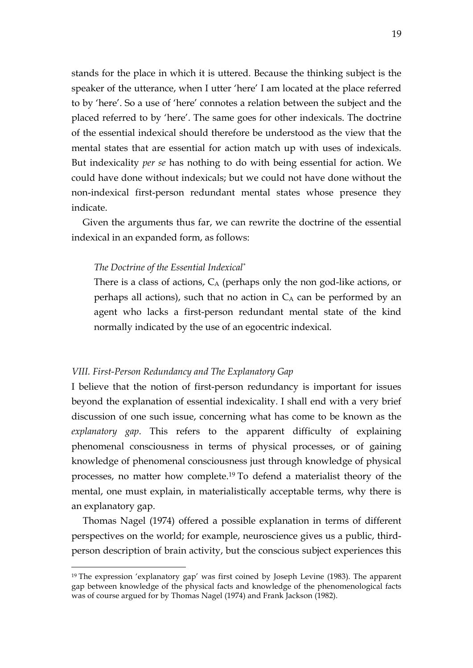stands for the place in which it is uttered. Because the thinking subject is the speaker of the utterance, when I utter 'here' I am located at the place referred to by 'here'. So a use of 'here' connotes a relation between the subject and the placed referred to by 'here'. The same goes for other indexicals. The doctrine of the essential indexical should therefore be understood as the view that the mental states that are essential for action match up with uses of indexicals. But indexicality *per se* has nothing to do with being essential for action. We could have done without indexicals; but we could not have done without the non-indexical first-person redundant mental states whose presence they indicate.

Given the arguments thus far, we can rewrite the doctrine of the essential indexical in an expanded form, as follows:

# *The Doctrine of the Essential Indexical\**

There is a class of actions,  $C_A$  (perhaps only the non god-like actions, or perhaps all actions), such that no action in  $C_A$  can be performed by an agent who lacks a first-person redundant mental state of the kind normally indicated by the use of an egocentric indexical.

#### *VIII. First-Person Redundancy and The Explanatory Gap*

I believe that the notion of first-person redundancy is important for issues beyond the explanation of essential indexicality. I shall end with a very brief discussion of one such issue, concerning what has come to be known as the *explanatory gap*. This refers to the apparent difficulty of explaining phenomenal consciousness in terms of physical processes, or of gaining knowledge of phenomenal consciousness just through knowledge of physical processes, no matter how complete. <sup>19</sup> To defend a materialist theory of the mental, one must explain, in materialistically acceptable terms, why there is an explanatory gap.

Thomas Nagel (1974) offered a possible explanation in terms of different perspectives on the world; for example, neuroscience gives us a public, thirdperson description of brain activity, but the conscious subject experiences this

<sup>&</sup>lt;sup>19</sup> The expression 'explanatory gap' was first coined by Joseph Levine (1983). The apparent gap between knowledge of the physical facts and knowledge of the phenomenological facts was of course argued for by Thomas Nagel (1974) and Frank Jackson (1982).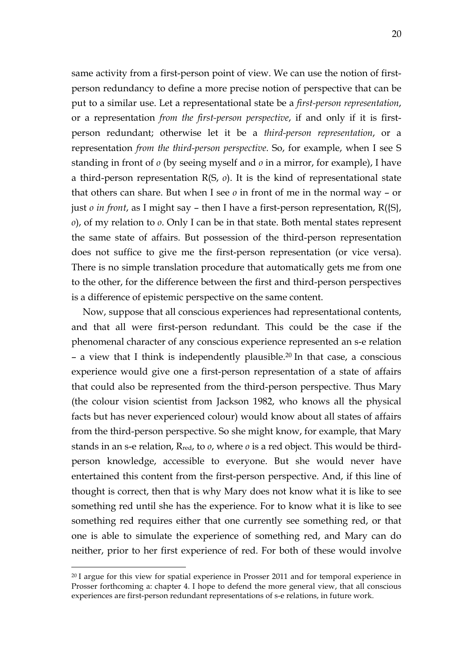same activity from a first-person point of view. We can use the notion of firstperson redundancy to define a more precise notion of perspective that can be put to a similar use. Let a representational state be a *first-person representation*, or a representation *from the first-person perspective*, if and only if it is firstperson redundant; otherwise let it be a *third-person representation*, or a representation *from the third-person perspective*. So, for example, when I see S standing in front of *o* (by seeing myself and *o* in a mirror, for example), I have a third-person representation R(S, *o*). It is the kind of representational state that others can share. But when I see *o* in front of me in the normal way – or just *o in front*, as I might say – then I have a first-person representation, R({S}, *o*), of my relation to *o*. Only I can be in that state. Both mental states represent the same state of affairs. But possession of the third-person representation does not suffice to give me the first-person representation (or vice versa). There is no simple translation procedure that automatically gets me from one to the other, for the difference between the first and third-person perspectives is a difference of epistemic perspective on the same content.

Now, suppose that all conscious experiences had representational contents, and that all were first-person redundant. This could be the case if the phenomenal character of any conscious experience represented an s-e relation – a view that I think is independently plausible.20 In that case, a conscious experience would give one a first-person representation of a state of affairs that could also be represented from the third-person perspective. Thus Mary (the colour vision scientist from Jackson 1982, who knows all the physical facts but has never experienced colour) would know about all states of affairs from the third-person perspective. So she might know, for example, that Mary stands in an s-e relation, Rred, to *o*, where *o* is a red object. This would be thirdperson knowledge, accessible to everyone. But she would never have entertained this content from the first-person perspective. And, if this line of thought is correct, then that is why Mary does not know what it is like to see something red until she has the experience. For to know what it is like to see something red requires either that one currently see something red, or that one is able to simulate the experience of something red, and Mary can do neither, prior to her first experience of red. For both of these would involve

<sup>&</sup>lt;sup>20</sup> I argue for this view for spatial experience in Prosser 2011 and for temporal experience in Prosser forthcoming a: chapter 4. I hope to defend the more general view, that all conscious experiences are first-person redundant representations of s-e relations, in future work.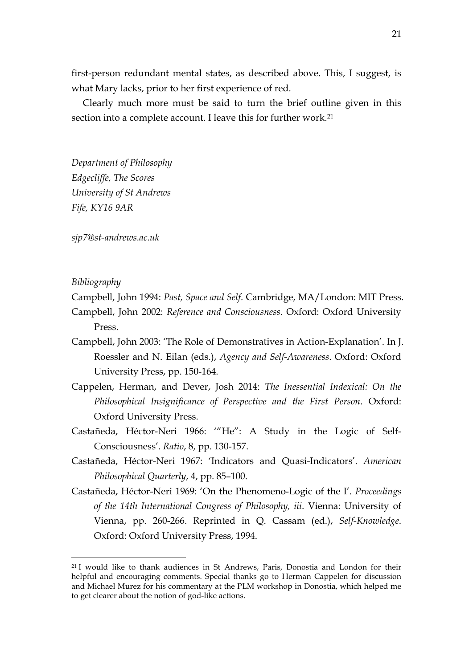first-person redundant mental states, as described above. This, I suggest, is what Mary lacks, prior to her first experience of red.

Clearly much more must be said to turn the brief outline given in this section into a complete account. I leave this for further work.<sup>21</sup>

*Department of Philosophy Edgecliffe, The Scores University of St Andrews Fife, KY16 9AR*

*sjp7@st-andrews.ac.uk*

## *Bibliography*

Campbell, John 1994: *Past, Space and Self*. Cambridge, MA/London: MIT Press.

- Campbell, John 2002: *Reference and Consciousness*. Oxford: Oxford University Press.
- Campbell, John 2003: 'The Role of Demonstratives in Action-Explanation'. In J. Roessler and N. Eilan (eds.), *Agency and Self-Awareness*. Oxford: Oxford University Press, pp. 150-164.
- Cappelen, Herman, and Dever, Josh 2014: *The Inessential Indexical: On the Philosophical Insignificance of Perspective and the First Person*. Oxford: Oxford University Press.
- Castañeda, Héctor-Neri 1966: '"He": A Study in the Logic of Self-Consciousness'. *Ratio*, 8, pp. 130-157.
- Castañeda, Héctor-Neri 1967: 'Indicators and Quasi-Indicators'. *American Philosophical Quarterly*, 4, pp. 85–100.
- Castañeda, Héctor-Neri 1969: 'On the Phenomeno-Logic of the I'. *Proceedings of the 14th International Congress of Philosophy, iii*. Vienna: University of Vienna, pp. 260-266. Reprinted in Q. Cassam (ed.), *Self-Knowledge*. Oxford: Oxford University Press, 1994.

 <sup>21</sup> I would like to thank audiences in St Andrews, Paris, Donostia and London for their helpful and encouraging comments. Special thanks go to Herman Cappelen for discussion and Michael Murez for his commentary at the PLM workshop in Donostia, which helped me to get clearer about the notion of god-like actions.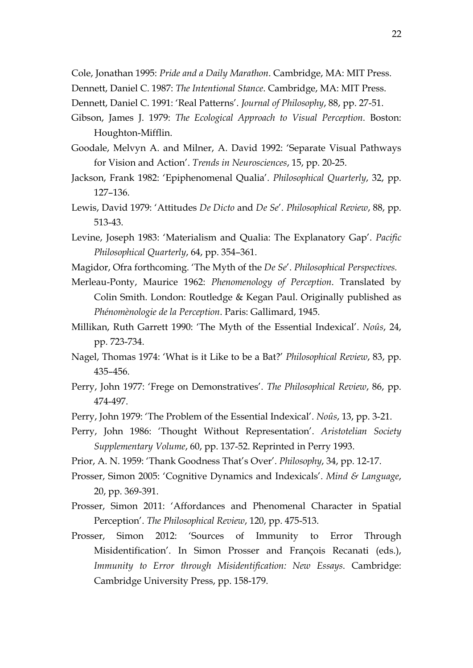Cole, Jonathan 1995: *Pride and a Daily Marathon*. Cambridge, MA: MIT Press.

- Dennett, Daniel C. 1987: *The Intentional Stance*. Cambridge, MA: MIT Press.
- Dennett, Daniel C. 1991: 'Real Patterns'. *Journal of Philosophy*, 88, pp. 27-51.
- Gibson, James J. 1979: *The Ecological Approach to Visual Perception*. Boston: Houghton-Mifflin.
- Goodale, Melvyn A. and Milner, A. David 1992: 'Separate Visual Pathways for Vision and Action'. *Trends in Neurosciences*, 15, pp. 20-25.
- Jackson, Frank 1982: 'Epiphenomenal Qualia'. *Philosophical Quarterly*, 32, pp. 127–136.
- Lewis, David 1979: 'Attitudes *De Dicto* and *De Se*'. *Philosophical Review*, 88, pp. 513-43.
- Levine, Joseph 1983: 'Materialism and Qualia: The Explanatory Gap'. *Pacific Philosophical Quarterly*, 64, pp. 354–361.
- Magidor, Ofra forthcoming. 'The Myth of the *De Se*'. *Philosophical Perspectives.*
- Merleau-Ponty, Maurice 1962: *Phenomenology of Perception*. Translated by Colin Smith. London: Routledge & Kegan Paul. Originally published as *Phénomènologie de la Perception*. Paris: Gallimard, 1945.
- Millikan, Ruth Garrett 1990: 'The Myth of the Essential Indexical'. *Noûs*, 24, pp. 723-734.
- Nagel, Thomas 1974: 'What is it Like to be a Bat?' *Philosophical Review*, 83, pp. 435–456.
- Perry, John 1977: 'Frege on Demonstratives'. *The Philosophical Review*, 86, pp. 474-497.
- Perry, John 1979: 'The Problem of the Essential Indexical'. *Noûs*, 13, pp. 3-21.
- Perry, John 1986: 'Thought Without Representation'. *Aristotelian Society Supplementary Volume*, 60, pp. 137-52. Reprinted in Perry 1993.
- Prior, A. N. 1959: 'Thank Goodness That's Over'. *Philosophy*, 34, pp. 12-17.
- Prosser, Simon 2005: 'Cognitive Dynamics and Indexicals'. *Mind & Language*, 20, pp. 369-391.
- Prosser, Simon 2011: 'Affordances and Phenomenal Character in Spatial Perception'. *The Philosophical Review*, 120, pp. 475-513.
- Prosser, Simon 2012: 'Sources of Immunity to Error Through Misidentification'. In Simon Prosser and François Recanati (eds.), *Immunity to Error through Misidentification: New Essays*. Cambridge: Cambridge University Press, pp. 158-179.